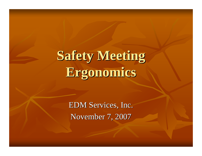# **Safety Meeting Safety Meeting Ergonomics Ergonomics**

EDM Services, Inc. November 7, 2007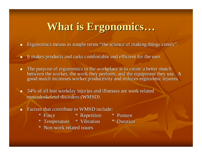#### **What is Ergonomics What is Ergonomics …**

- $\blacksquare$ **Example 1** Ergonomics means in simple terms "the science of making things comfy" .
- o a It makes products and tasks comfortable and efficient for the user.
- $\blacksquare$ The purpose of ergonomics in the workplace is to create a better match between the worker, the work they perform, and the equipment they use. A good match increases worker productivity and reduces ergonomic injuries.
- $\blacksquare$ 34% of all lost workday injuries and illnesses are work related musculoskeletal disorders (WMSD). musculoskeletal disorders (WMSD).
- $\blacksquare$ Factors that contribute to WMSD include:
	- \* Force \* Force
- 
- \* Repetition \* Repetition \* Posture \* Posture
- \* Temperature \* Temperature \* Vibration \* Vibration \* Duration \* Duration
- 

\* Non-work related issues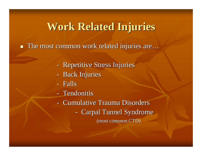### **Work Related Injuries Work Related Injuries**

 $\blacksquare$  The most common work related injuries are...

- Repetitive Stress Injuries
- Back Injuries
- Falls
- Tendonitis
- Cumulative Trauma Disorders
	- Carpal Tunnel Syndrome

(most common CTD)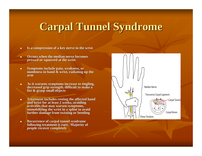# **Carpal Tunnel Syndrome Carpal Tunnel Syndrome**

- π Is a compression of a key nerve in the wrist
- ٠ **Occurs when the median nerve becomes pressed or squeezed at the wrist or squeezed at the wrist**
- $\blacksquare$ **Symptoms include pain, weakness, or numbness in hand & wrist, radiating up the arm**
- $\blacksquare$ As it worsens symptoms increase to tingling, decreased grip strength, difficult to make a **fist & grasp small objects fist & grasp small objects**
- $\blacksquare$ **Treatment includes resting the affected hand** and wrist for at least 2 weeks, avoiding activities that may worsen symptoms, **immobilizing the wrist in a splint to avoid further damage from twisting or bending further damage from twisting bending**
- $\blacksquare$ **Recurrence of carpal tunnel syndrome following treatment is rare. Majority of people recover completely people recover completely**

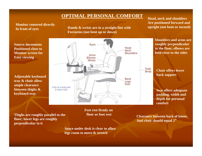#### **OPTIMAL PERSONAL COMFORT**

**Monitor centered directly**

**In front of eyes Hands & wrists are in a straight line with Forearms** (not bent up or down)

**Head, neck and shoulders Are positioned forward and upright (not bent or turned)**

**Chair offers lower**

**padding, width and** 

**back support**

**Source documentsPositioned close toMonitor screen forEasy viewing**

**Adjustable keyboard tray & chair allow ample clearance between thighs & keyboard tray**



**Thighs are roughly parallel to the floor; lower legs are roughly perpendicular to it**

**Feet rest firmly on floor or foot rest**

**Space under desk is clear to allow legs room to move & stretch**

**Clearance between back of kneesAnd chair should equal 2"**

**comfort**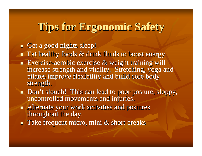## **Tips for Ergonomic Safety Tips for Ergonomic Safety**

 $\blacksquare$  Get a good nights sleep!

 $\blacksquare$  Eat healthy foods  $\&$  drink fluids to boost energy.

- **Exercise-aerobic exercise & weight training will** increase strength and vitality. Stretching, yoga and pilates improve flexibility and build core body pilates improve flexibility and build core body strength.
- **Don't slouch! This can lead to poor posture, sloppy,** uncontrolled movements and injuries.
- $\blacksquare$  Alternate your work activities and postures throughout the day.
- $\blacksquare$  Take frequent micro, mini & short breaks